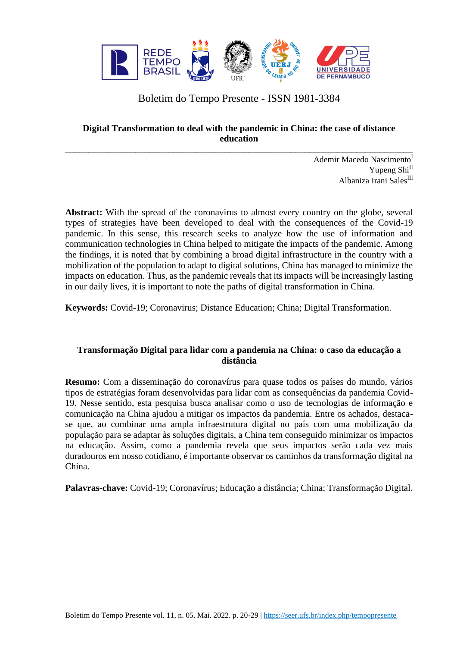

# Boletim do Tempo Presente - ISSN 1981-3384

# **Digital Transformation to deal with the pandemic in China: the case of distance education**

\_\_\_\_\_\_\_\_\_\_\_\_\_\_\_\_\_\_\_\_\_\_\_\_\_\_\_\_\_\_\_\_\_\_\_\_\_\_\_\_\_\_\_\_\_\_\_\_\_\_\_\_\_\_\_\_\_\_\_\_\_\_\_\_\_\_\_\_\_\_\_\_\_\_

Ademir Macedo Nascimento<sup>I</sup> Yupeng Shi<sup>II</sup> Albaniza Irani Sales<sup>III</sup>

Abstract: With the spread of the coronavirus to almost every country on the globe, several types of strategies have been developed to deal with the consequences of the Covid-19 pandemic. In this sense, this research seeks to analyze how the use of information and communication technologies in China helped to mitigate the impacts of the pandemic. Among the findings, it is noted that by combining a broad digital infrastructure in the country with a mobilization of the population to adapt to digital solutions, China has managed to minimize the impacts on education. Thus, as the pandemic reveals that its impacts will be increasingly lasting in our daily lives, it is important to note the paths of digital transformation in China.

**Keywords:** Covid-19; Coronavirus; Distance Education; China; Digital Transformation.

## **Transformação Digital para lidar com a pandemia na China: o caso da educação a distância**

**Resumo:** Com a disseminação do coronavírus para quase todos os países do mundo, vários tipos de estratégias foram desenvolvidas para lidar com as consequências da pandemia Covid-19. Nesse sentido, esta pesquisa busca analisar como o uso de tecnologias de informação e comunicação na China ajudou a mitigar os impactos da pandemia. Entre os achados, destacase que, ao combinar uma ampla infraestrutura digital no país com uma mobilização da população para se adaptar às soluções digitais, a China tem conseguido minimizar os impactos na educação. Assim, como a pandemia revela que seus impactos serão cada vez mais duradouros em nosso cotidiano, é importante observar os caminhos da transformação digital na China.

**Palavras-chave:** Covid-19; Coronavírus; Educação a distância; China; Transformação Digital.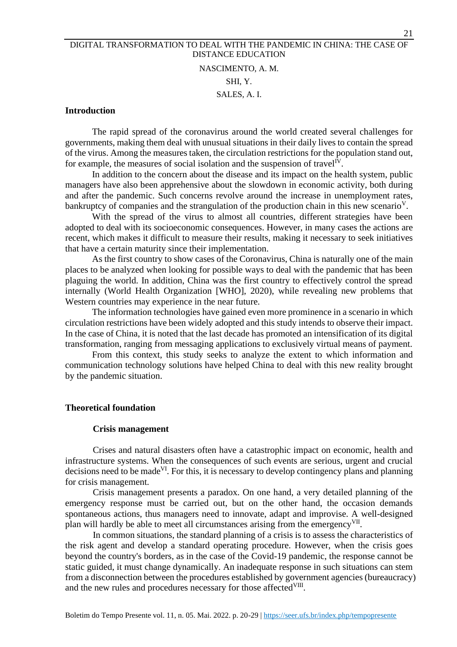# NASCIMENTO, A. M. SHI, Y. SALES, A. I.

## **Introduction**

The rapid spread of the coronavirus around the world created several challenges for governments, making them deal with unusual situations in their daily lives to contain the spread of the virus. Among the measures taken, the circulation restrictions for the population stand out, for example, the measures of social isolation and the suspension of travel<sup>IV</sup>.

In addition to the concern about the disease and its impact on the health system, public managers have also been apprehensive about the slowdown in economic activity, both during and after the pandemic. Such concerns revolve around the increase in unemployment rates, bankruptcy of companies and the strangulation of the production chain in this new scenario<sup>V</sup>.

With the spread of the virus to almost all countries, different strategies have been adopted to deal with its socioeconomic consequences. However, in many cases the actions are recent, which makes it difficult to measure their results, making it necessary to seek initiatives that have a certain maturity since their implementation.

As the first country to show cases of the Coronavirus, China is naturally one of the main places to be analyzed when looking for possible ways to deal with the pandemic that has been plaguing the world. In addition, China was the first country to effectively control the spread internally (World Health Organization [WHO], 2020), while revealing new problems that Western countries may experience in the near future.

The information technologies have gained even more prominence in a scenario in which circulation restrictions have been widely adopted and this study intends to observe their impact. In the case of China, it is noted that the last decade has promoted an intensification of its digital transformation, ranging from messaging applications to exclusively virtual means of payment.

From this context, this study seeks to analyze the extent to which information and communication technology solutions have helped China to deal with this new reality brought by the pandemic situation.

## **Theoretical foundation**

#### **Crisis management**

Crises and natural disasters often have a catastrophic impact on economic, health and infrastructure systems. When the consequences of such events are serious, urgent and crucial decisions need to be made<sup>VI</sup>. For this, it is necessary to develop contingency plans and planning for crisis management.

Crisis management presents a paradox. On one hand, a very detailed planning of the emergency response must be carried out, but on the other hand, the occasion demands spontaneous actions, thus managers need to innovate, adapt and improvise. A well-designed plan will hardly be able to meet all circumstances arising from the emergency<sup>VII</sup>.

In common situations, the standard planning of a crisis is to assess the characteristics of the risk agent and develop a standard operating procedure. However, when the crisis goes beyond the country's borders, as in the case of the Covid-19 pandemic, the response cannot be static guided, it must change dynamically. An inadequate response in such situations can stem from a disconnection between the procedures established by government agencies (bureaucracy) and the new rules and procedures necessary for those affected VIII.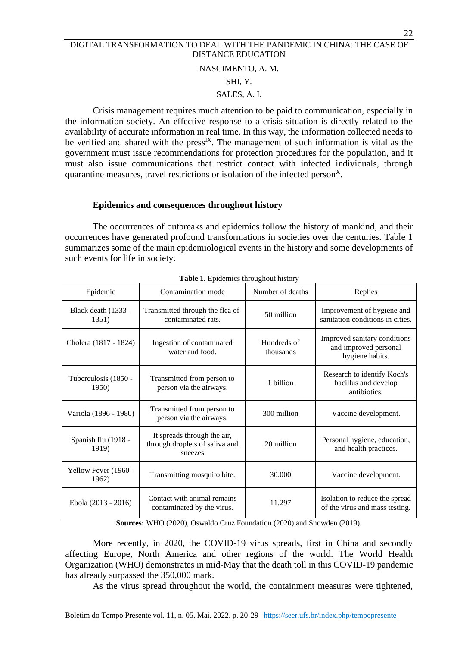## NASCIMENTO, A. M.

## SHI, Y.

## SALES, A. I.

Crisis management requires much attention to be paid to communication, especially in the information society. An effective response to a crisis situation is directly related to the availability of accurate information in real time. In this way, the information collected needs to be verified and shared with the press<sup>IX</sup>. The management of such information is vital as the government must issue recommendations for protection procedures for the population, and it must also issue communications that restrict contact with infected individuals, through quarantine measures, travel restrictions or isolation of the infected person<sup>X</sup>.

## **Epidemics and consequences throughout history**

The occurrences of outbreaks and epidemics follow the history of mankind, and their occurrences have generated profound transformations in societies over the centuries. Table 1 summarizes some of the main epidemiological events in the history and some developments of such events for life in society.

| Epidemic                      | Contamination mode                                                       | Number of deaths         | Replies                                                                  |
|-------------------------------|--------------------------------------------------------------------------|--------------------------|--------------------------------------------------------------------------|
| Black death (1333 -<br>1351)  | Transmitted through the flea of<br>contaminated rats.                    | 50 million               | Improvement of hygiene and<br>sanitation conditions in cities.           |
| Cholera (1817 - 1824)         | Ingestion of contaminated<br>water and food.                             | Hundreds of<br>thousands | Improved sanitary conditions<br>and improved personal<br>hygiene habits. |
| Tuberculosis (1850 -<br>1950) | Transmitted from person to<br>person via the airways.                    | 1 billion                | Research to identify Koch's<br>bacillus and develop<br>antibiotics.      |
| Variola (1896 - 1980)         | Transmitted from person to<br>person via the airways.                    | 300 million              | Vaccine development.                                                     |
| Spanish flu (1918 -<br>1919)  | It spreads through the air,<br>through droplets of saliva and<br>sneezes | 20 million               | Personal hygiene, education,<br>and health practices.                    |
| Yellow Fever (1960 -<br>1962) | Transmitting mosquito bite.                                              | 30.000                   | Vaccine development.                                                     |
| Ebola (2013 - 2016)           | Contact with animal remains<br>contaminated by the virus.                | 11.297                   | Isolation to reduce the spread<br>of the virus and mass testing.         |

**Table 1.** Epidemics throughout history

**Sources:** WHO (2020), Oswaldo Cruz Foundation (2020) and Snowden (2019).

More recently, in 2020, the COVID-19 virus spreads, first in China and secondly affecting Europe, North America and other regions of the world. The World Health Organization (WHO) demonstrates in mid-May that the death toll in this COVID-19 pandemic has already surpassed the 350,000 mark.

As the virus spread throughout the world, the containment measures were tightened,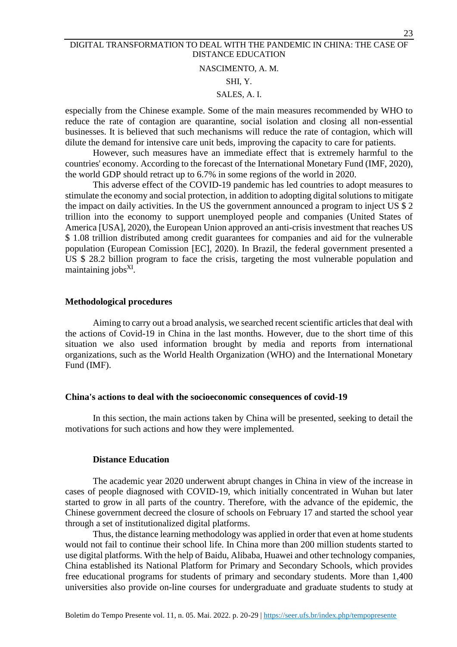#### NASCIMENTO, A. M.

## SHI, Y.

## SALES, A. I.

especially from the Chinese example. Some of the main measures recommended by WHO to reduce the rate of contagion are quarantine, social isolation and closing all non-essential businesses. It is believed that such mechanisms will reduce the rate of contagion, which will dilute the demand for intensive care unit beds, improving the capacity to care for patients.

However, such measures have an immediate effect that is extremely harmful to the countries' economy. According to the forecast of the International Monetary Fund (IMF, 2020), the world GDP should retract up to 6.7% in some regions of the world in 2020.

This adverse effect of the COVID-19 pandemic has led countries to adopt measures to stimulate the economy and social protection, in addition to adopting digital solutions to mitigate the impact on daily activities. In the US the government announced a program to inject US \$ 2 trillion into the economy to support unemployed people and companies (United States of America [USA], 2020), the European Union approved an anti-crisis investment that reaches US \$ 1.08 trillion distributed among credit guarantees for companies and aid for the vulnerable population (European Comission [EC], 2020). In Brazil, the federal government presented a US \$ 28.2 billion program to face the crisis, targeting the most vulnerable population and maintaining jobs<sup>XI</sup>.

## **Methodological procedures**

Aiming to carry out a broad analysis, we searched recent scientific articles that deal with the actions of Covid-19 in China in the last months. However, due to the short time of this situation we also used information brought by media and reports from international organizations, such as the World Health Organization (WHO) and the International Monetary Fund (IMF).

#### **China's actions to deal with the socioeconomic consequences of covid-19**

In this section, the main actions taken by China will be presented, seeking to detail the motivations for such actions and how they were implemented.

#### **Distance Education**

The academic year 2020 underwent abrupt changes in China in view of the increase in cases of people diagnosed with COVID-19, which initially concentrated in Wuhan but later started to grow in all parts of the country. Therefore, with the advance of the epidemic, the Chinese government decreed the closure of schools on February 17 and started the school year through a set of institutionalized digital platforms.

Thus, the distance learning methodology was applied in order that even at home students would not fail to continue their school life. In China more than 200 million students started to use digital platforms. With the help of Baidu, Alibaba, Huawei and other technology companies, China established its National Platform for Primary and Secondary Schools, which provides free educational programs for students of primary and secondary students. More than 1,400 universities also provide on-line courses for undergraduate and graduate students to study at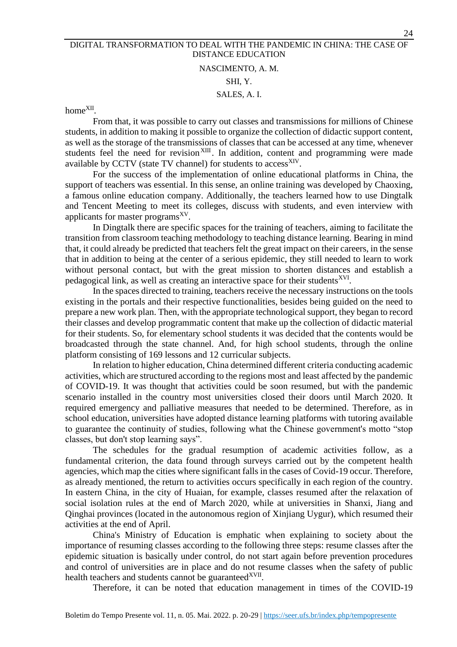# NASCIMENTO, A. M. SHI, Y. SALES, A. I.

# home<sup>XII</sup>.

From that, it was possible to carry out classes and transmissions for millions of Chinese students, in addition to making it possible to organize the collection of didactic support content, as well as the storage of the transmissions of classes that can be accessed at any time, whenever students feel the need for revision<sup>XIII</sup>. In addition, content and programming were made available by CCTV (state TV channel) for students to access<sup>XIV</sup>.

For the success of the implementation of online educational platforms in China, the support of teachers was essential. In this sense, an online training was developed by Chaoxing, a famous online education company. Additionally, the teachers learned how to use Dingtalk and Tencent Meeting to meet its colleges, discuss with students, and even interview with applicants for master programs<sup>XV</sup>.

In Dingtalk there are specific spaces for the training of teachers, aiming to facilitate the transition from classroom teaching methodology to teaching distance learning. Bearing in mind that, it could already be predicted that teachers felt the great impact on their careers, in the sense that in addition to being at the center of a serious epidemic, they still needed to learn to work without personal contact, but with the great mission to shorten distances and establish a pedagogical link, as well as creating an interactive space for their students<sup>XVI</sup>.

In the spaces directed to training, teachers receive the necessary instructions on the tools existing in the portals and their respective functionalities, besides being guided on the need to prepare a new work plan. Then, with the appropriate technological support, they began to record their classes and develop programmatic content that make up the collection of didactic material for their students. So, for elementary school students it was decided that the contents would be broadcasted through the state channel. And, for high school students, through the online platform consisting of 169 lessons and 12 curricular subjects.

In relation to higher education, China determined different criteria conducting academic activities, which are structured according to the regions most and least affected by the pandemic of COVID-19. It was thought that activities could be soon resumed, but with the pandemic scenario installed in the country most universities closed their doors until March 2020. It required emergency and palliative measures that needed to be determined. Therefore, as in school education, universities have adopted distance learning platforms with tutoring available to guarantee the continuity of studies, following what the Chinese government's motto "stop classes, but don't stop learning says".

The schedules for the gradual resumption of academic activities follow, as a fundamental criterion, the data found through surveys carried out by the competent health agencies, which map the cities where significant falls in the cases of Covid-19 occur. Therefore, as already mentioned, the return to activities occurs specifically in each region of the country. In eastern China, in the city of Huaian, for example, classes resumed after the relaxation of social isolation rules at the end of March 2020, while at universities in Shanxi, Jiang and Qinghai provinces (located in the autonomous region of Xinjiang Uygur), which resumed their activities at the end of April.

China's Ministry of Education is emphatic when explaining to society about the importance of resuming classes according to the following three steps: resume classes after the epidemic situation is basically under control, do not start again before prevention procedures and control of universities are in place and do not resume classes when the safety of public health teachers and students cannot be guaranteed<sup>XVII</sup>.

Therefore, it can be noted that education management in times of the COVID-19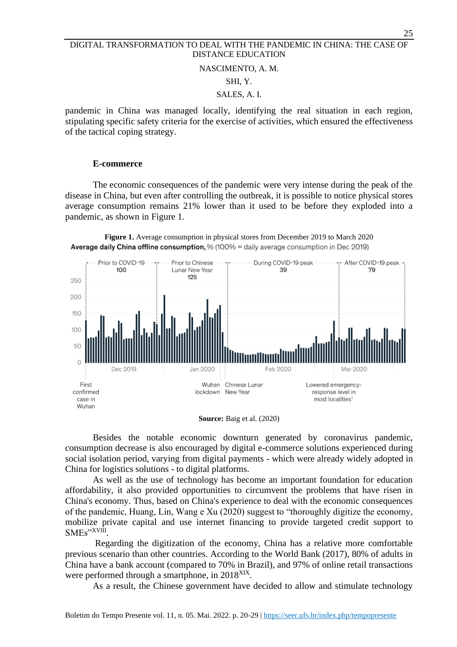#### NASCIMENTO, A. M.

#### SHI, Y.

#### SALES, A. I.

pandemic in China was managed locally, identifying the real situation in each region, stipulating specific safety criteria for the exercise of activities, which ensured the effectiveness of the tactical coping strategy.

#### **E-commerce**

The economic consequences of the pandemic were very intense during the peak of the disease in China, but even after controlling the outbreak, it is possible to notice physical stores average consumption remains 21% lower than it used to be before they exploded into a pandemic, as shown in Figure 1.





**Source:** Baig et al. (2020)

Besides the notable economic downturn generated by coronavirus pandemic, consumption decrease is also encouraged by digital e-commerce solutions experienced during social isolation period, varying from digital payments - which were already widely adopted in China for logistics solutions - to digital platforms.

As well as the use of technology has become an important foundation for education affordability, it also provided opportunities to circumvent the problems that have risen in China's economy. Thus, based on China's experience to deal with the economic consequences of the pandemic, Huang, Lin, Wang e Xu (2020) suggest to "thoroughly digitize the economy, mobilize private capital and use internet financing to provide targeted credit support to SMEs"<sup>XVIII</sup>.

Regarding the digitization of the economy, China has a relative more comfortable previous scenario than other countries. According to the World Bank (2017), 80% of adults in China have a bank account (compared to 70% in Brazil), and 97% of online retail transactions were performed through a smartphone, in 2018<sup>XIX</sup>.

As a result, the Chinese government have decided to allow and stimulate technology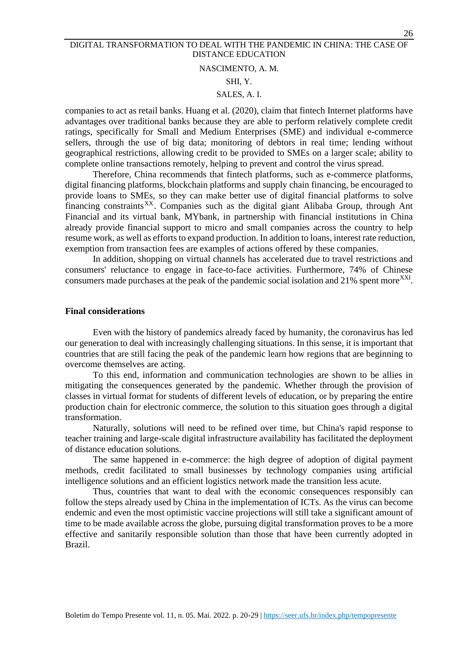#### NASCIMENTO, A. M.

## SHI, Y.

#### SALES, A. I.

companies to act as retail banks. Huang et al. (2020), claim that fintech Internet platforms have advantages over traditional banks because they are able to perform relatively complete credit ratings, specifically for Small and Medium Enterprises (SME) and individual e-commerce sellers, through the use of big data; monitoring of debtors in real time; lending without geographical restrictions, allowing credit to be provided to SMEs on a larger scale; ability to complete online transactions remotely, helping to prevent and control the virus spread.

Therefore, China recommends that fintech platforms, such as e-commerce platforms, digital financing platforms, blockchain platforms and supply chain financing, be encouraged to provide loans to SMEs, so they can make better use of digital financial platforms to solve financing constraints<sup>XX</sup>. Companies such as the digital giant Alibaba Group, through Ant Financial and its virtual bank, MYbank, in partnership with financial institutions in China already provide financial support to micro and small companies across the country to help resume work, as well as efforts to expand production. In addition to loans, interest rate reduction, exemption from transaction fees are examples of actions offered by these companies.

In addition, shopping on virtual channels has accelerated due to travel restrictions and consumers' reluctance to engage in face-to-face activities. Furthermore, 74% of Chinese consumers made purchases at the peak of the pandemic social isolation and 21% spent more<sup>XXI</sup>.

#### **Final considerations**

Even with the history of pandemics already faced by humanity, the coronavirus has led our generation to deal with increasingly challenging situations. In this sense, it is important that countries that are still facing the peak of the pandemic learn how regions that are beginning to overcome themselves are acting.

To this end, information and communication technologies are shown to be allies in mitigating the consequences generated by the pandemic. Whether through the provision of classes in virtual format for students of different levels of education, or by preparing the entire production chain for electronic commerce, the solution to this situation goes through a digital transformation.

Naturally, solutions will need to be refined over time, but China's rapid response to teacher training and large-scale digital infrastructure availability has facilitated the deployment of distance education solutions.

The same happened in e-commerce: the high degree of adoption of digital payment methods, credit facilitated to small businesses by technology companies using artificial intelligence solutions and an efficient logistics network made the transition less acute.

Thus, countries that want to deal with the economic consequences responsibly can follow the steps already used by China in the implementation of ICTs. As the virus can become endemic and even the most optimistic vaccine projections will still take a significant amount of time to be made available across the globe, pursuing digital transformation proves to be a more effective and sanitarily responsible solution than those that have been currently adopted in Brazil.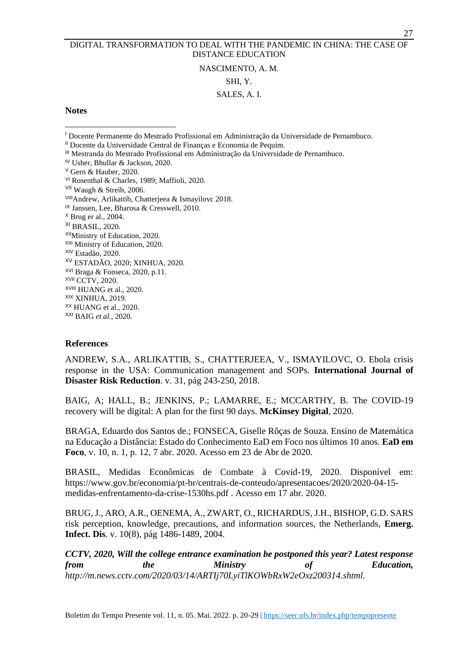## NASCIMENTO, A. M.

#### SHI, Y.

## SALES, A. I.

## **Notes**

<sup>I</sup> Docente Permanente do Mestrado Profissional em Administração da Universidade de Pernambuco.

- III Mestranda do Mestrado Profissional em Administração da Universidade de Pernambuco.
- IV Usher, Bhullar & Jackson, 2020.
- <sup>V</sup> Gern & Hauber, 2020.
- VI Rosenthal & Charles, 1989; Maffioli, 2020.
- VII Waugh & Streib, 2006.
- VIIIAndrew, Arlikattib, Chatterjeea & Ismayilovc 2018.
- <sup>IX</sup> Janssen, Lee, Bharosa & Cresswell, 2010.
- <sup>X</sup> Brug er al., 2004.
- XI BRASIL, 2020.
- XIIMinistry of Education, 2020.
- XIII Ministry of Education, 2020.
- XIV Estadão, 2020.
- XV ESTADÃO, 2020; XINHUA, 2020. XVI Braga & Fonseca, 2020, p.11.
- XVII CCTV, 2020.
- XVIII HUANG et al., 2020.
- XIX XINHUA, 2019.
- XX HUANG et al., 2020.
- XXI BAIG *et al.*, 2020.

## **References**

ANDREW, S.A., ARLIKATTIB, S., CHATTERJEEA, V., ISMAYILOVC, O. Ebola crisis response in the USA: Communication management and SOPs. **International Journal of Disaster Risk Reduction**. v. 31, pág 243-250, 2018.

BAIG, A; HALL, B.; JENKINS, P.; LAMARRE, E.; MCCARTHY, B. The COVID-19 recovery will be digital: A plan for the first 90 days. **McKinsey Digital**, 2020.

BRAGA, Eduardo dos Santos de.; FONSECA, Giselle Rôças de Souza. Ensino de Matemática na Educação a Distância: Estado do Conhecimento EaD em Foco nos últimos 10 anos. **EaD em Foco**, v. 10, n. 1, p. 12, 7 abr. 2020. Acesso em 23 de Abr de 2020.

BRASIL, Medidas Econômicas de Combate à Covid-19, 2020. Disponível em: [https://www.gov.br/economia/pt-br/centrais-de-conteudo/apresentacoes/2020/2020-04-15](https://www.gov.br/economia/pt-br/centrais-de-conteudo/apresentacoes/2020/2020-04-15-medidas-enfrentamento-da-crise-1530hs.pdf) [medidas-enfrentamento-da-crise-1530hs.pdf](https://www.gov.br/economia/pt-br/centrais-de-conteudo/apresentacoes/2020/2020-04-15-medidas-enfrentamento-da-crise-1530hs.pdf) . Acesso em 17 abr. 2020.

BRUG, J., ARO, A.R., OENEMA, A., ZWART, O., RICHARDUS, J.H., BISHOP, G.D. SARS risk perception, knowledge, precautions, and information sources, the Netherlands, **Emerg. Infect. Dis**. v. 10(8), pág 1486-1489, 2004.

*CCTV, 2020, Will the college entrance examination be postponed this year? Latest response from the Ministry of Education, [http://m.news.cctv.com/2020/03/14/ARTIj70LyiTlKOWbRxW2eOxz200314.shtml.](http://m.news.cctv.com/2020/03/14/ARTIj70LyiTlKOWbRxW2eOxz200314.shtml)* 

II Docente da Universidade Central de Finanças e Economia de Pequim.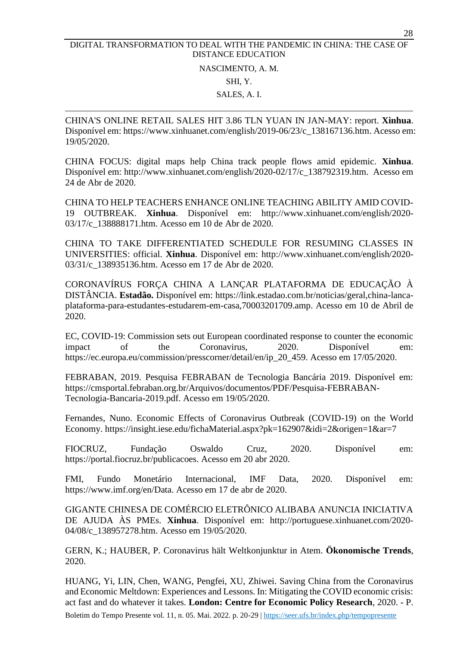NASCIMENTO, A. M. SHI, Y. SALES, A. I.

CHINA'S ONLINE RETAIL SALES HIT 3.86 TLN YUAN IN JAN-MAY: report. **Xinhua**. Disponível em: [https://www.xinhuanet.com/english/2019-06/23/c\\_138167136.htm.](https://www.xinhuanet.com/english/2019-06/23/c_138167136.htm) Acesso em: 19/05/2020.

CHINA FOCUS: digital maps help China track people flows amid epidemic. **Xinhua**. Disponível em: [http://www.xinhuanet.com/english/2020-02/17/c\\_138792319.htm.](http://www.xinhuanet.com/english/2020-02/17/c_138792319.htm) Acesso em 24 de Abr de 2020.

CHINA TO HELP TEACHERS ENHANCE ONLINE TEACHING ABILITY AMID COVID-19 OUTBREAK. **Xinhua**. Disponível em: [http://www.xinhuanet.com/english/2020-](http://www.xinhuanet.com/english/2020-03/17/c_138888171.htm) [03/17/c\\_138888171.htm.](http://www.xinhuanet.com/english/2020-03/17/c_138888171.htm) Acesso em 10 de Abr de 2020.

CHINA TO TAKE DIFFERENTIATED SCHEDULE FOR RESUMING CLASSES IN UNIVERSITIES: official. **Xinhua**. Disponível em: [http://www.xinhuanet.com/english/2020-](http://www.xinhuanet.com/english/2020-03/31/c_138935136.htm) [03/31/c\\_138935136.htm.](http://www.xinhuanet.com/english/2020-03/31/c_138935136.htm) Acesso em 17 de Abr de 2020.

CORONAVÍRUS FORÇA CHINA A LANÇAR PLATAFORMA DE EDUCAÇÃO À DISTÂNCIA. **Estadão.** Disponível em: [https://link.estadao.com.br/noticias/geral,china-lanca](https://link.estadao.com.br/noticias/geral,china-lanca-plataforma-para-estudantes-estudarem-em-casa,70003201709.amp)[plataforma-para-estudantes-estudarem-em-casa,70003201709.amp.](https://link.estadao.com.br/noticias/geral,china-lanca-plataforma-para-estudantes-estudarem-em-casa,70003201709.amp) Acesso em 10 de Abril de 2020.

EC, COVID-19: Commission sets out European coordinated response to counter the economic impact of the Coronavirus, 2020. Disponível em: [https://ec.europa.eu/commission/presscorner/detail/en/ip\\_20\\_459.](https://ec.europa.eu/commission/presscorner/detail/en/ip_20_459) Acesso em 17/05/2020.

FEBRABAN, 2019. Pesquisa FEBRABAN de Tecnologia Bancária 2019. Disponível em: [https://cmsportal.febraban.org.br/Arquivos/documentos/PDF/Pesquisa-FEBRABAN-](https://cmsportal.febraban.org.br/Arquivos/documentos/PDF/Pesquisa-FEBRABAN-Tecnologia-Bancaria-2019.pdf)[Tecnologia-Bancaria-2019.pdf.](https://cmsportal.febraban.org.br/Arquivos/documentos/PDF/Pesquisa-FEBRABAN-Tecnologia-Bancaria-2019.pdf) Acesso em 19/05/2020.

Fernandes, Nuno. Economic Effects of Coronavirus Outbreak (COVID-19) on the World Economy.<https://insight.iese.edu/fichaMaterial.aspx?pk=162907&idi=2&origen=1&ar=7>

FIOCRUZ, Fundação Oswaldo Cruz, 2020. Disponível em: [https://portal.fiocruz.br/publicacoes.](https://portal.fiocruz.br/publicacoes) Acesso em 20 abr 2020.

FMI, Fundo Monetário Internacional, IMF Data, 2020. Disponível em: [https://www.imf.org/en/Data.](https://www.imf.org/en/Data) Acesso em 17 de abr de 2020.

GIGANTE CHINESA DE COMÉRCIO ELETRÔNICO ALIBABA ANUNCIA INICIATIVA DE AJUDA ÀS PMEs. **Xinhua**. Disponível em: [http://portuguese.xinhuanet.com/2020-](http://portuguese.xinhuanet.com/2020-04/08/c_138957278.htm) [04/08/c\\_138957278.htm.](http://portuguese.xinhuanet.com/2020-04/08/c_138957278.htm) Acesso em 19/05/2020.

GERN, K.; HAUBER, P. Coronavirus hält Weltkonjunktur in Atem. **Ökonomische Trends**, 2020.

Boletim do Tempo Presente vol. 11, n. 05. Mai. 2022. p. 20-29 | <https://seer.ufs.br/index.php/tempopresente> HUANG, Yi, LIN, Chen, WANG, Pengfei, XU, Zhiwei. Saving China from the Coronavirus and Economic Meltdown: Experiences and Lessons. In: Mitigating the COVID economic crisis: act fast and do whatever it takes. **London: Centre for Economic Policy Research**, 2020. - P.